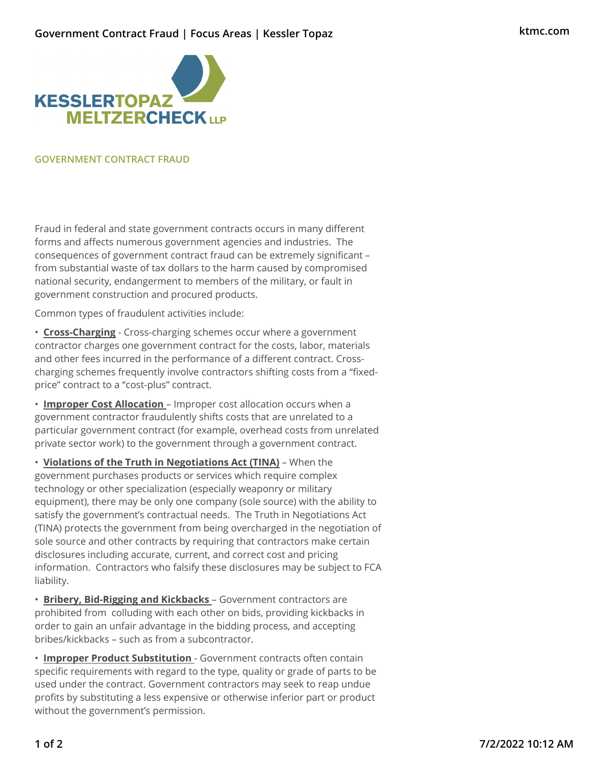## **Government Contract Fraud | Focus Areas | Kessler Topaz**



## **GOVERNMENT CONTRACT FRAUD**

Fraud in federal and state government contracts occurs in many different forms and affects numerous government agencies and industries. The consequences of government contract fraud can be extremely significant – from substantial waste of tax dollars to the harm caused by compromised national security, endangerment to members of the military, or fault in government construction and procured products.

Common types of fraudulent activities include:

• **Cross-Charging** - Cross-charging schemes occur where a government contractor charges one government contract for the costs, labor, materials and other fees incurred in the performance of a different contract. Crosscharging schemes frequently involve contractors shifting costs from a "fixedprice" contract to a "cost-plus" contract.

• **Improper Cost Allocation** – Improper cost allocation occurs when a government contractor fraudulently shifts costs that are unrelated to a particular government contract (for example, overhead costs from unrelated private sector work) to the government through a government contract.

• **Violations of the Truth in Negotiations Act (TINA)** – When the government purchases products or services which require complex technology or other specialization (especially weaponry or military equipment), there may be only one company (sole source) with the ability to satisfy the government's contractual needs. The Truth in Negotiations Act (TINA) protects the government from being overcharged in the negotiation of sole source and other contracts by requiring that contractors make certain disclosures including accurate, current, and correct cost and pricing information. Contractors who falsify these disclosures may be subject to FCA liability.

• **Bribery, Bid-Rigging and Kickbacks** – Government contractors are prohibited from colluding with each other on bids, providing kickbacks in order to gain an unfair advantage in the bidding process, and accepting bribes/kickbacks – such as from a subcontractor.

• **Improper Product Substitution** - Government contracts often contain specific requirements with regard to the type, quality or grade of parts to be used under the contract. Government contractors may seek to reap undue profits by substituting a less expensive or otherwise inferior part or product without the government's permission.